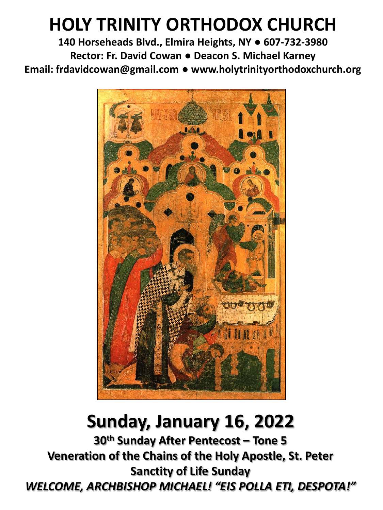# **HOLY TRINITY ORTHODOX CHURCH**

**140 Horseheads Blvd., Elmira Heights, NY ● 607-732-3980 Rector: Fr. David Cowan ● Deacon S. Michael Karney Email: frdavidcowan@gmail.com ● www.holytrinityorthodoxchurch.org**



# **Sunday, January 16, 2022**

**30th Sunday After Pentecost – Tone 5 Veneration of the Chains of the Holy Apostle, St. Peter Sanctity of Life Sunday** *WELCOME, ARCHBISHOP MICHAEL! "EIS POLLA ETI, DESPOTA!"*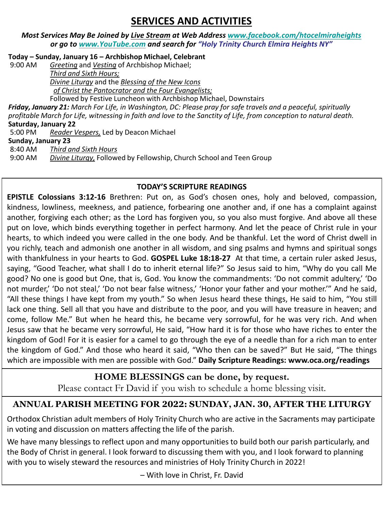## **SERVICES AND ACTIVITIES**

#### *Most Services May Be Joined by Live Stream at Web Address [www.facebook.com/htocelmiraheights](http://www.facebook.com/htocelmiraheights) or go to [www.YouTube.com](http://www.youtube.com/) and search for "Holy Trinity Church Elmira Heights NY"*

**Today – Sunday, January 16 – Archbishop Michael, Celebrant** 

Greeting and *Vesting* of Archbishop Michael;

*Third and Sixth Hours; Divine Liturgy* and the *Blessing of the New Icons of Christ the Pantocrator and the Four Evangelists;*

Followed by Festive Luncheon with Archbishop Michael, Downstairs *Friday, January 21: March For Life, in Washington, DC: Please pray for safe travels and a peaceful, spiritually profitable March for Life, witnessing in faith and love to the Sanctity of Life, from conception to natural death.*  **Saturday, January 22**  5:00 PM *Reader Vespers,* Led by Deacon Michael **Sunday, January 23**

8:40 AM *Third and Sixth Hours*

9:00 AM *Divine Liturgy,* Followed by Fellowship, Church School and Teen Group

### **TODAY'S SCRIPTURE READINGS**

**EPISTLE Colossians 3:12-16** Brethren: Put on, as God's chosen ones, holy and beloved, compassion, kindness, lowliness, meekness, and patience, forbearing one another and, if one has a complaint against another, forgiving each other; as the Lord has forgiven you, so you also must forgive. And above all these put on love, which binds everything together in perfect harmony. And let the peace of Christ rule in your hearts, to which indeed you were called in the one body. And be thankful. Let the word of Christ dwell in you richly, teach and admonish one another in all wisdom, and sing psalms and hymns and spiritual songs with thankfulness in your hearts to God. **GOSPEL Luke 18:18-27** At that time, a certain ruler asked Jesus, saying, "Good Teacher, what shall I do to inherit eternal life?" So Jesus said to him, "Why do you call Me good? No one is good but One, that is, God. You know the commandments: 'Do not commit adultery,' 'Do not murder,' 'Do not steal,' 'Do not bear false witness,' 'Honor your father and your mother.'" And he said, "All these things I have kept from my youth." So when Jesus heard these things, He said to him, "You still lack one thing. Sell all that you have and distribute to the poor, and you will have treasure in heaven; and come, follow Me." But when he heard this, he became very sorrowful, for he was very rich. And when Jesus saw that he became very sorrowful, He said, "How hard it is for those who have riches to enter the kingdom of God! For it is easier for a camel to go through the eye of a needle than for a rich man to enter the kingdom of God." And those who heard it said, "Who then can be saved?" But He said, "The things which are impossible with men are possible with God." **Daily Scripture Readings: www.oca.org/readings**

## **HOME BLESSINGS can be done, by request.**

Please contact Fr David if you wish to schedule a home blessing visit.

## **ANNUAL PARISH MEETING FOR 2022: SUNDAY, JAN. 30, AFTER THE LITURGY**

Orthodox Christian adult members of Holy Trinity Church who are active in the Sacraments may participate in voting and discussion on matters affecting the life of the parish.

We have many blessings to reflect upon and many opportunities to build both our parish particularly, and the Body of Christ in general. I look forward to discussing them with you, and I look forward to planning with you to wisely steward the resources and ministries of Holy Trinity Church in 2022!

– With love in Christ, Fr. David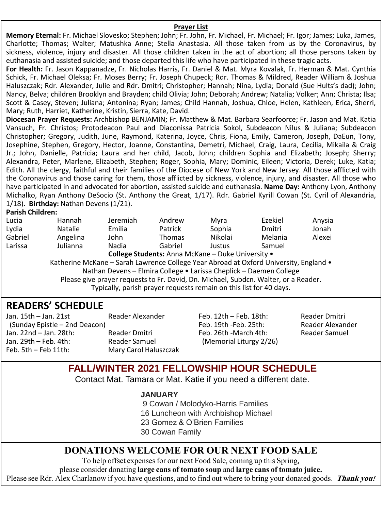#### **Prayer List**

**Memory Eternal:** Fr. Michael Slovesko; Stephen; John; Fr. John, Fr. Michael, Fr. Michael; Fr. Igor; James; Luka, James, Charlotte; Thomas; Walter; Matushka Anne; Stella Anastasia. All those taken from us by the Coronavirus, by sickness, violence, injury and disaster. All those children taken in the act of abortion; all those persons taken by euthanasia and assisted suicide; and those departed this life who have participated in these tragic acts.

**For Health:** Fr. Jason Kappanadze, Fr. Nicholas Harris, Fr. Daniel & Mat. Myra Kovalak, Fr. Herman & Mat. Cynthia Schick, Fr. Michael Oleksa; Fr. Moses Berry; Fr. Joseph Chupeck; Rdr. Thomas & Mildred, Reader William & Joshua Haluszczak; Rdr. Alexander, Julie and Rdr. Dmitri; Christopher; Hannah; Nina, Lydia; Donald (Sue Hults's dad); John; Nancy, Belva; children Brooklyn and Brayden; child Olivia; John; Deborah; Andrew; Natalia; Volker; Ann; Christa; Ilsa; Scott & Casey, Steven; Juliana; Antonina; Ryan; James; Child Hannah, Joshua, Chloe, Helen, Kathleen, Erica, Sherri, Mary; Ruth, Harriet, Katherine, Kristin, Sierra, Kate, David.

**Diocesan Prayer Requests:** Archbishop BENJAMIN; Fr. Matthew & Mat. Barbara Searfoorce; Fr. Jason and Mat. Katia Vansuch, Fr. Christos; Protodeacon Paul and Diaconissa Patricia Sokol, Subdeacon Nilus & Juliana; Subdeacon Christopher; Gregory, Judith, June, Raymond, Katerina, Joyce, Chris, Fiona, Emily, Cameron, Joseph, DaEun, Tony, Josephine, Stephen, Gregory, Hector, Joanne, Constantina, Demetri, Michael, Craig, Laura, Cecilia, Mikaila & Craig Jr.; John, Danielle, Patricia; Laura and her child, Jacob, John; children Sophia and Elizabeth; Joseph; Sherry; Alexandra, Peter, Marlene, Elizabeth, Stephen; Roger, Sophia, Mary; Dominic, Eileen; Victoria, Derek; Luke, Katia; Edith. All the clergy, faithful and their families of the Diocese of New York and New Jersey. All those afflicted with the Coronavirus and those caring for them, those afflicted by sickness, violence, injury, and disaster. All those who have participated in and advocated for abortion, assisted suicide and euthanasia. **Name Day:** Anthony Lyon, Anthony Michalko, Ryan Anthony DeSocio (St. Anthony the Great, 1/17). Rdr. Gabriel Kyrill Cowan (St. Cyril of Alexandria, 1/18). **Birthday:** Nathan Devens (1/21).

#### **Parish Children:**

| Lucia                                                                                 | <b>Hannah</b>                                                                       | Jeremiah                                                           | Andrew                                            | Myra    | Ezekiel | Anysia |  |  |
|---------------------------------------------------------------------------------------|-------------------------------------------------------------------------------------|--------------------------------------------------------------------|---------------------------------------------------|---------|---------|--------|--|--|
| Lydia                                                                                 | <b>Natalie</b>                                                                      | Emilia                                                             | Patrick                                           | Sophia  | Dmitri  | Jonah  |  |  |
| Gabriel                                                                               | Angelina                                                                            | John                                                               | <b>Thomas</b>                                     | Nikolai | Melania | Alexei |  |  |
| Larissa                                                                               | Julianna                                                                            | Nadia                                                              | Gabriel                                           | Justus  | Samuel  |        |  |  |
|                                                                                       |                                                                                     |                                                                    | College Students: Anna McKane - Duke University . |         |         |        |  |  |
| Katherine McKane - Sarah Lawrence College Year Abroad at Oxford University, England • |                                                                                     |                                                                    |                                                   |         |         |        |  |  |
|                                                                                       |                                                                                     | Nathan Devens - Elmira College . Larissa Cheplick - Daemen College |                                                   |         |         |        |  |  |
|                                                                                       | Please give prayer requests to Fr. David, Dn. Michael, Subdcn. Walter, or a Reader. |                                                                    |                                                   |         |         |        |  |  |
|                                                                                       |                                                                                     | Typically, parish prayer requests remain on this list for 40 days. |                                                   |         |         |        |  |  |
|                                                                                       |                                                                                     |                                                                    |                                                   |         |         |        |  |  |

## **READERS' SCHEDULE**

| Jan. $15th - Jan. 21st$       | Reader Alexander      |
|-------------------------------|-----------------------|
| (Sunday Epistle – 2nd Deacon) |                       |
| Jan. 22nd - Jan. 28th:        | Reader Dmitri         |
| Jan. 29th - Feb. 4th:         | Reader Samuel         |
| Feb. 5th - Feb 11th:          | Mary Carol Haluszczak |

Feb. 12th – Feb. 18th: Reader Dmitri Feb. 19th -Feb. 25th: Reader Alexander Feb. 26th -March 4th: Reader Samuel (Memorial Liturgy 2/26)

## **FALL/WINTER 2021 FELLOWSHIP HOUR SCHEDULE**

Contact Mat. Tamara or Mat. Katie if you need a different date.

#### **JANUARY**

9 Cowan / Molodyko-Harris Families

- 16 Luncheon with Archbishop Michael
- 23 Gomez & O'Brien Families
- 30 Cowan Family

### **DONATIONS WELCOME FOR OUR NEXT FOOD SALE**

To help offset expenses for our next Food Sale, coming up this Spring,

please consider donating **large cans of tomato soup** and **large cans of tomato juice.**

Please see Rdr. Alex Charlanow if you have questions, and to find out where to bring your donated goods. **Thank you!**